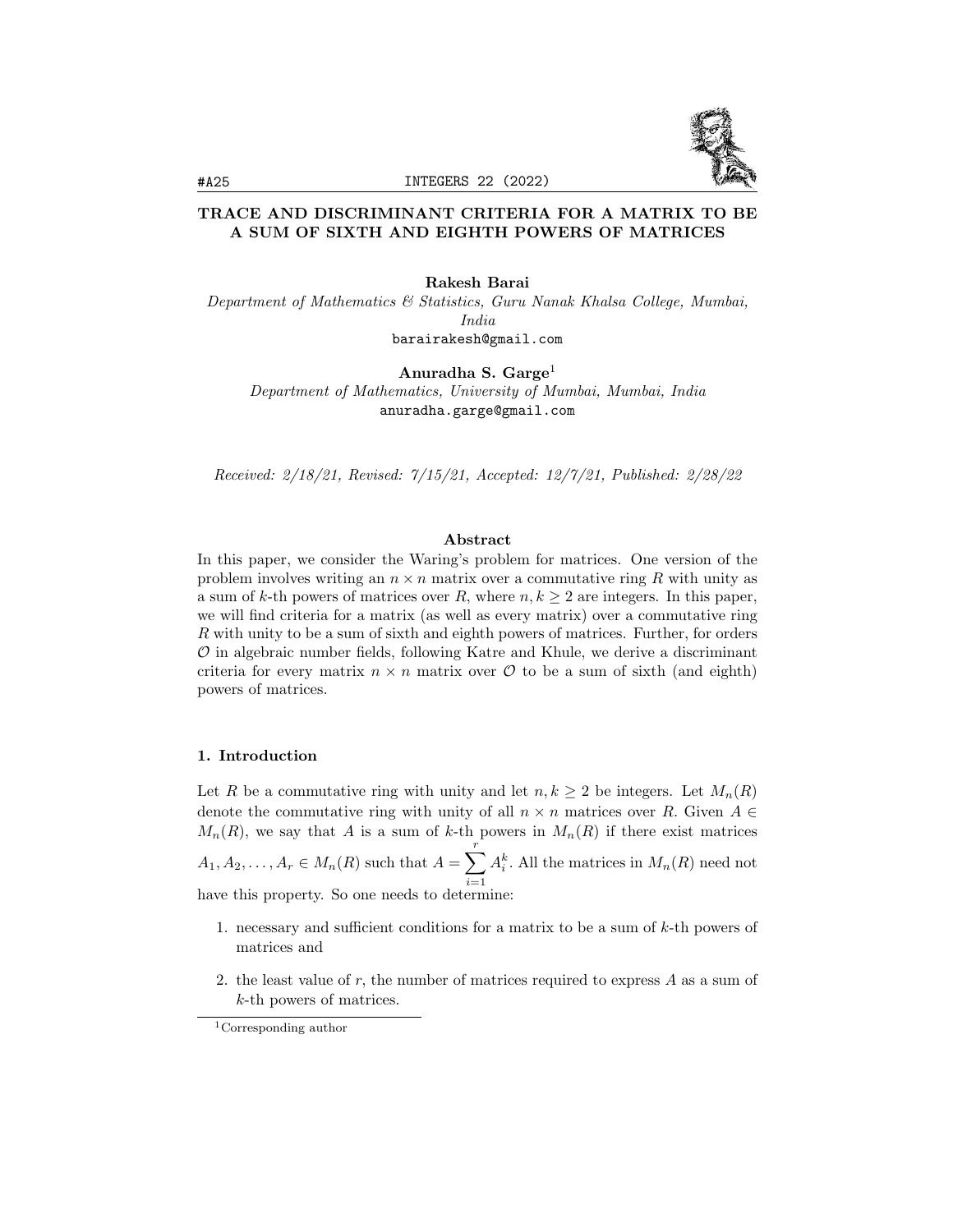

# TRACE AND DISCRIMINANT CRITERIA FOR A MATRIX TO BE A SUM OF SIXTH AND EIGHTH POWERS OF MATRICES

Rakesh Barai

Department of Mathematics & Statistics, Guru Nanak Khalsa College, Mumbai, India barairakesh@gmail.com

Anuradha S.  $Garge<sup>1</sup>$ 

Department of Mathematics, University of Mumbai, Mumbai, India anuradha.garge@gmail.com

Received: 2/18/21, Revised: 7/15/21, Accepted: 12/7/21, Published: 2/28/22

# Abstract

In this paper, we consider the Waring's problem for matrices. One version of the problem involves writing an  $n \times n$  matrix over a commutative ring R with unity as a sum of k-th powers of matrices over R, where  $n, k \geq 2$  are integers. In this paper, we will find criteria for a matrix (as well as every matrix) over a commutative ring R with unity to be a sum of sixth and eighth powers of matrices. Further, for orders  $\mathcal O$  in algebraic number fields, following Katre and Khule, we derive a discriminant criteria for every matrix  $n \times n$  matrix over  $\mathcal O$  to be a sum of sixth (and eighth) powers of matrices.

#### 1. Introduction

Let R be a commutative ring with unity and let  $n, k \geq 2$  be integers. Let  $M_n(R)$ denote the commutative ring with unity of all  $n \times n$  matrices over R. Given  $A \in$  $M_n(R)$ , we say that A is a sum of k-th powers in  $M_n(R)$  if there exist matrices  $A_1, A_2, \ldots, A_r \in M_n(R)$  such that  $A = \sum_{r=1}^{r}$  $i=1$  $A_i^k$ . All the matrices in  $M_n(R)$  need not have this property. So one needs to determine:

- 1. necessary and sufficient conditions for a matrix to be a sum of  $k$ -th powers of matrices and
- 2. the least value of  $r$ , the number of matrices required to express  $A$  as a sum of k-th powers of matrices.

<sup>1</sup>Corresponding author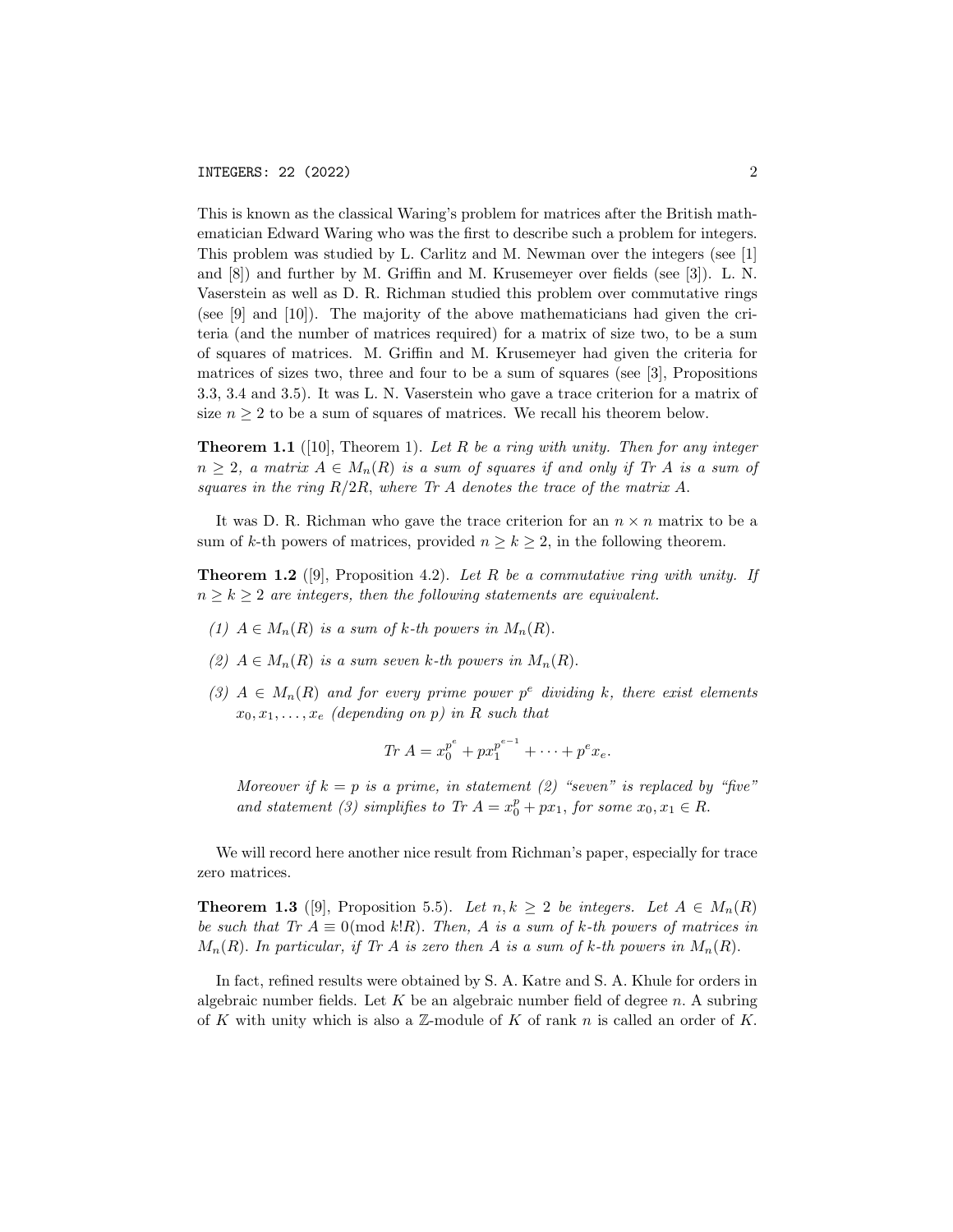This is known as the classical Waring's problem for matrices after the British mathematician Edward Waring who was the first to describe such a problem for integers. This problem was studied by L. Carlitz and M. Newman over the integers (see [1] and [8]) and further by M. Griffin and M. Krusemeyer over fields (see [3]). L. N. Vaserstein as well as D. R. Richman studied this problem over commutative rings (see [9] and [10]). The majority of the above mathematicians had given the criteria (and the number of matrices required) for a matrix of size two, to be a sum of squares of matrices. M. Griffin and M. Krusemeyer had given the criteria for matrices of sizes two, three and four to be a sum of squares (see [3], Propositions 3.3, 3.4 and 3.5). It was L. N. Vaserstein who gave a trace criterion for a matrix of size  $n \geq 2$  to be a sum of squares of matrices. We recall his theorem below.

**Theorem 1.1** ([10], Theorem 1). Let R be a ring with unity. Then for any integer  $n \geq 2$ , a matrix  $A \in M_n(R)$  is a sum of squares if and only if Tr A is a sum of squares in the ring  $R/2R$ , where Tr A denotes the trace of the matrix A.

It was D. R. Richman who gave the trace criterion for an  $n \times n$  matrix to be a sum of k-th powers of matrices, provided  $n > k > 2$ , in the following theorem.

**Theorem 1.2** ([9], Proposition 4.2). Let R be a commutative ring with unity. If  $n \geq k \geq 2$  are integers, then the following statements are equivalent.

- (1)  $A \in M_n(R)$  is a sum of k-th powers in  $M_n(R)$ .
- (2)  $A \in M_n(R)$  is a sum seven k-th powers in  $M_n(R)$ .
- (3)  $A \in M_n(R)$  and for every prime power  $p^e$  dividing k, there exist elements  $x_0, x_1, \ldots, x_e$  (depending on p) in R such that

$$
Tr A = x_0^{p^e} + px_1^{p^{e-1}} + \cdots + p^e x_e.
$$

Moreover if  $k = p$  is a prime, in statement (2) "seven" is replaced by "five" and statement (3) simplifies to Tr  $A = x_0^p + px_1$ , for some  $x_0, x_1 \in R$ .

We will record here another nice result from Richman's paper, especially for trace zero matrices.

**Theorem 1.3** ([9], Proposition 5.5). Let  $n, k \geq 2$  be integers. Let  $A \in M_n(R)$ be such that Tr  $A \equiv 0 \pmod{k!R}$ . Then, A is a sum of k-th powers of matrices in  $M_n(R)$ . In particular, if Tr A is zero then A is a sum of k-th powers in  $M_n(R)$ .

In fact, refined results were obtained by S. A. Katre and S. A. Khule for orders in algebraic number fields. Let  $K$  be an algebraic number field of degree  $n$ . A subring of K with unity which is also a  $\mathbb Z$ -module of K of rank n is called an order of K.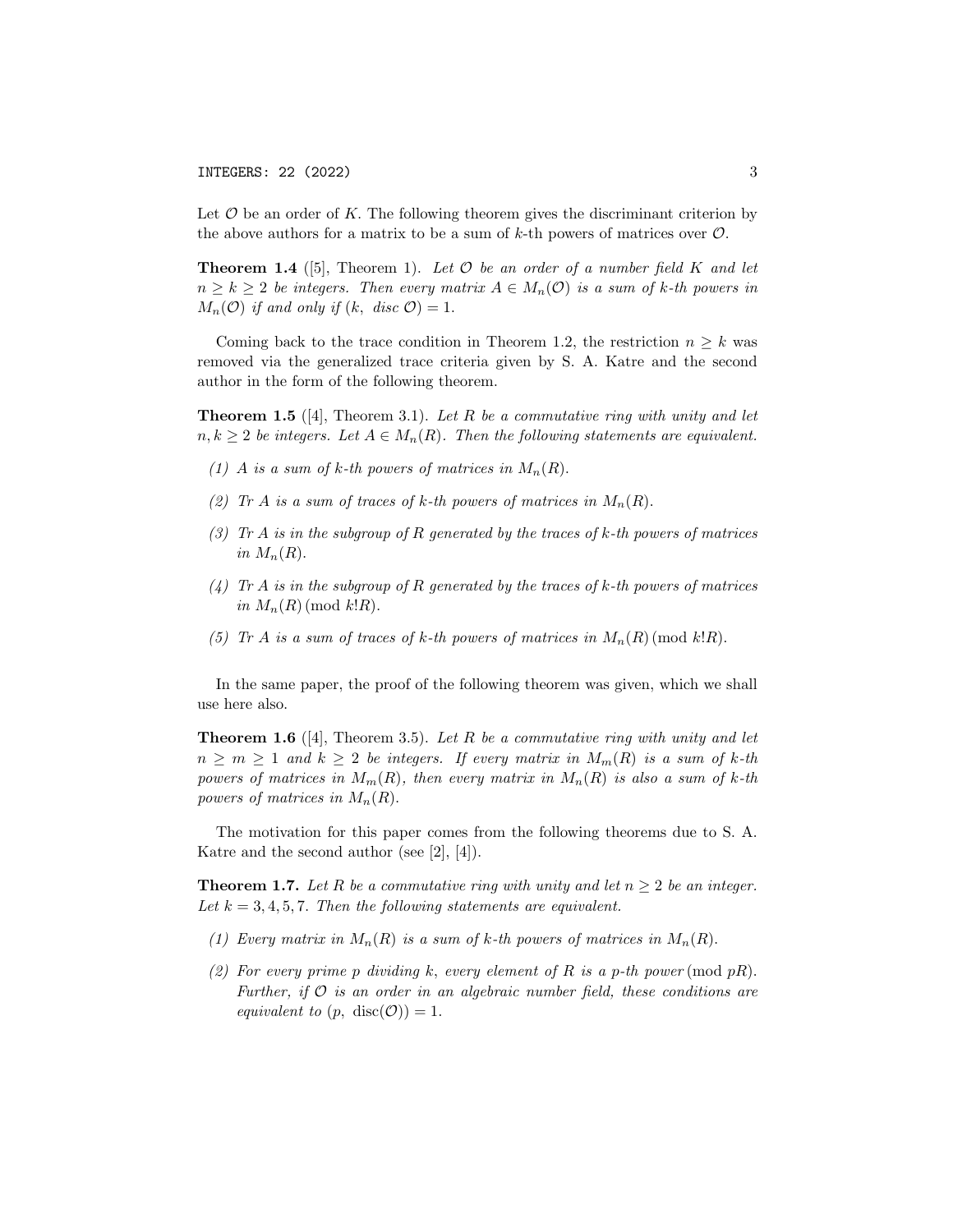Let  $\mathcal O$  be an order of K. The following theorem gives the discriminant criterion by the above authors for a matrix to be a sum of  $k$ -th powers of matrices over  $\mathcal{O}$ .

**Theorem 1.4** ([5], Theorem 1). Let  $\mathcal O$  be an order of a number field K and let  $n \geq k \geq 2$  be integers. Then every matrix  $A \in M_n(\mathcal{O})$  is a sum of k-th powers in  $M_n(\mathcal{O})$  if and only if  $(k, disc \mathcal{O}) = 1$ .

Coming back to the trace condition in Theorem 1.2, the restriction  $n \geq k$  was removed via the generalized trace criteria given by S. A. Katre and the second author in the form of the following theorem.

**Theorem 1.5** ([4], Theorem 3.1). Let R be a commutative ring with unity and let  $n, k \geq 2$  be integers. Let  $A \in M_n(R)$ . Then the following statements are equivalent.

- (1) A is a sum of k-th powers of matrices in  $M_n(R)$ .
- (2) Tr A is a sum of traces of k-th powers of matrices in  $M_n(R)$ .
- (3) Ir A is in the subgroup of R generated by the traces of k-th powers of matrices in  $M_n(R)$ .
- (4) Tr A is in the subgroup of R generated by the traces of k-th powers of matrices in  $M_n(R)$  (mod k!R).
- (5) Ir A is a sum of traces of k-th powers of matrices in  $M_n(R)$  (mod k!R).

In the same paper, the proof of the following theorem was given, which we shall use here also.

**Theorem 1.6** ([4], Theorem 3.5). Let R be a commutative ring with unity and let  $n \geq m \geq 1$  and  $k \geq 2$  be integers. If every matrix in  $M_m(R)$  is a sum of k-th powers of matrices in  $M_m(R)$ , then every matrix in  $M_n(R)$  is also a sum of k-th powers of matrices in  $M_n(R)$ .

The motivation for this paper comes from the following theorems due to S. A. Katre and the second author (see [2], [4]).

**Theorem 1.7.** Let R be a commutative ring with unity and let  $n \geq 2$  be an integer. Let  $k = 3, 4, 5, 7$ . Then the following statements are equivalent.

- (1) Every matrix in  $M_n(R)$  is a sum of k-th powers of matrices in  $M_n(R)$ .
- (2) For every prime p dividing k, every element of R is a p-th power (mod  $pR$ ). Further, if  $\mathcal O$  is an order in an algebraic number field, these conditions are equivalent to  $(p, \text{ disc}(0)) = 1$ .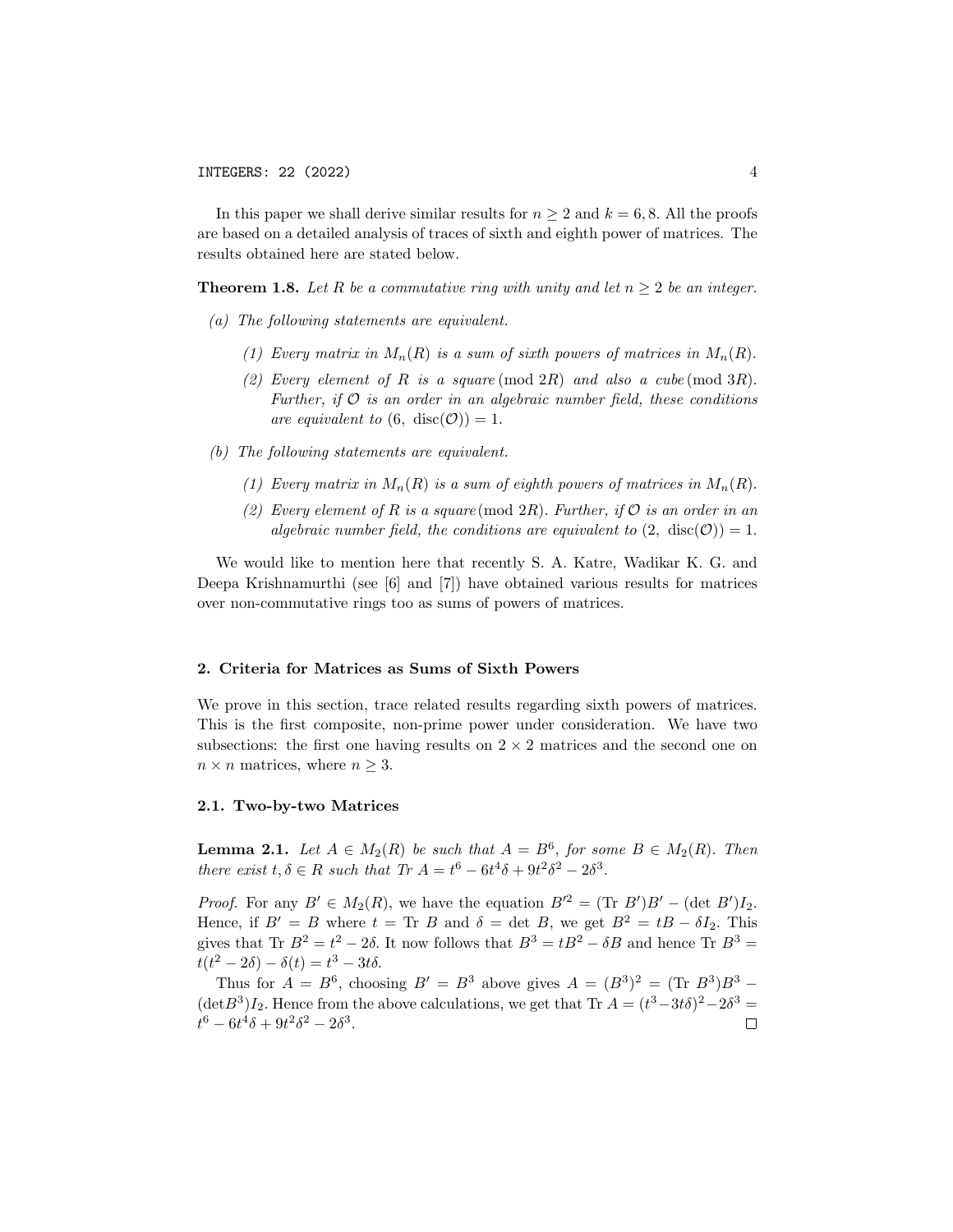In this paper we shall derive similar results for  $n \geq 2$  and  $k = 6, 8$ . All the proofs are based on a detailed analysis of traces of sixth and eighth power of matrices. The results obtained here are stated below.

**Theorem 1.8.** Let R be a commutative ring with unity and let  $n \geq 2$  be an integer.

- (a) The following statements are equivalent.
	- (1) Every matrix in  $M_n(R)$  is a sum of sixth powers of matrices in  $M_n(R)$ .
	- (2) Every element of R is a square  $(\text{mod } 2R)$  and also a cube  $(\text{mod } 3R)$ . Further, if  $\mathcal O$  is an order in an algebraic number field, these conditions are equivalent to  $(6, \text{ disc}(0)) = 1$ .
- (b) The following statements are equivalent.
	- (1) Every matrix in  $M_n(R)$  is a sum of eighth powers of matrices in  $M_n(R)$ .
	- (2) Every element of R is a square (mod 2R). Further, if  $\mathcal O$  is an order in an algebraic number field, the conditions are equivalent to  $(2, \text{ disc}(0)) = 1$ .

We would like to mention here that recently S. A. Katre, Wadikar K. G. and Deepa Krishnamurthi (see [6] and [7]) have obtained various results for matrices over non-commutative rings too as sums of powers of matrices.

### 2. Criteria for Matrices as Sums of Sixth Powers

We prove in this section, trace related results regarding sixth powers of matrices. This is the first composite, non-prime power under consideration. We have two subsections: the first one having results on  $2 \times 2$  matrices and the second one on  $n \times n$  matrices, where  $n \geq 3$ .

# 2.1. Two-by-two Matrices

**Lemma 2.1.** Let  $A \in M_2(R)$  be such that  $A = B^6$ , for some  $B \in M_2(R)$ . Then there exist  $t, \delta \in R$  such that  $Tr A = t^6 - 6t^4\delta + 9t^2\delta^2 - 2\delta^3$ .

*Proof.* For any  $B' \in M_2(R)$ , we have the equation  $B'^2 = (\text{Tr } B')B' - (\text{det } B')I_2$ . Hence, if  $B' = B$  where  $t = \text{Tr } B$  and  $\delta = \det B$ , we get  $B^2 = tB - \delta I_2$ . This gives that Tr  $B^2 = t^2 - 2\delta$ . It now follows that  $B^3 = tB^2 - \delta B$  and hence Tr  $B^3 =$  $t(t^2 - 2\delta) - \delta(t) = t^3 - 3t\delta.$ 

Thus for  $A = B^6$ , choosing  $B' = B^3$  above gives  $A = (B^3)^2 = (\text{Tr } B^3)B^3$  –  $(\det B^3)I_2$ . Hence from the above calculations, we get that Tr  $A = (t^3 - 3t\delta)^2 - 2\delta^3 =$  $t^6 - 6t^4\delta + 9t^2\delta^2 - 2\delta^3$ .  $\Box$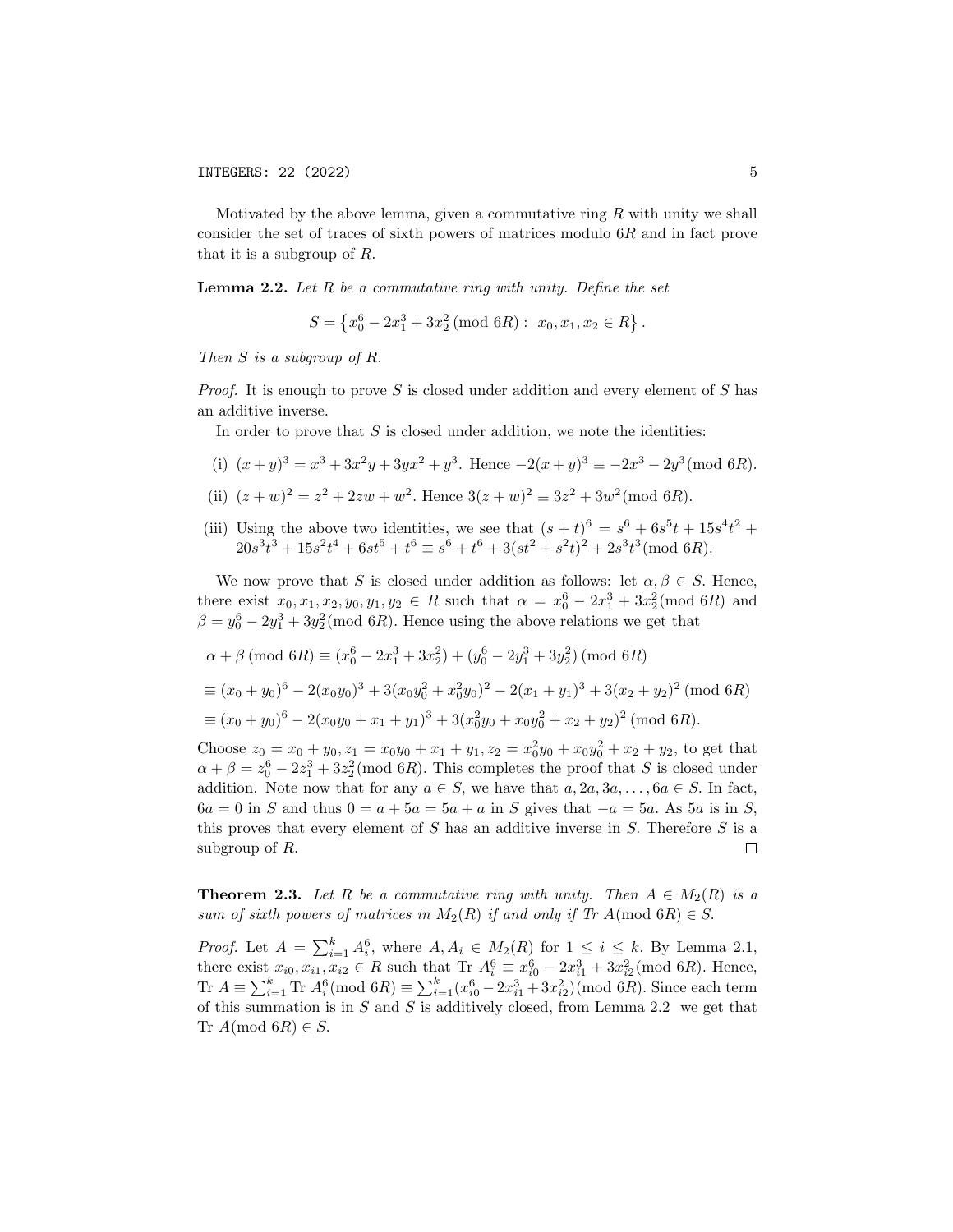Motivated by the above lemma, given a commutative ring  $R$  with unity we shall consider the set of traces of sixth powers of matrices modulo 6R and in fact prove that it is a subgroup of R.

**Lemma 2.2.** Let  $R$  be a commutative ring with unity. Define the set

$$
S = \left\{ x_0^6 - 2x_1^3 + 3x_2^2 \ (\text{mod } 6R) : x_0, x_1, x_2 \in R \right\}.
$$

Then S is a subgroup of R.

*Proof.* It is enough to prove S is closed under addition and every element of S has an additive inverse.

In order to prove that  $S$  is closed under addition, we note the identities:

- (i)  $(x+y)^3 = x^3 + 3x^2y + 3yx^2 + y^3$ . Hence  $-2(x+y)^3 \equiv -2x^3 2y^3 \pmod{6R}$ .
- (ii)  $(z+w)^2 = z^2 + 2zw + w^2$ . Hence  $3(z+w)^2 \equiv 3z^2 + 3w^2 \pmod{6R}$ .
- (iii) Using the above two identities, we see that  $(s+t)^6 = s^6 + 6s^5t + 15s^4t^2 +$  $20s^3t^3 + 15s^2t^4 + 6st^5 + t^6 \equiv s^6 + t^6 + 3(st^2 + s^2t)^2 + 2s^3t^3 \pmod{6R}.$

We now prove that S is closed under addition as follows: let  $\alpha, \beta \in S$ . Hence, there exist  $x_0, x_1, x_2, y_0, y_1, y_2 \in R$  such that  $\alpha = x_0^6 - 2x_1^3 + 3x_2^2 \pmod{6R}$  and  $\beta = y_0^6 - 2y_1^3 + 3y_2^2 \pmod{6R}$ . Hence using the above relations we get that

 $\alpha + \beta \pmod{6R} \equiv (x_0^6 - 2x_1^3 + 3x_2^2) + (y_0^6 - 2y_1^3 + 3y_2^2) \pmod{6R}$ 

$$
\equiv (x_0 + y_0)^6 - 2(x_0y_0)^3 + 3(x_0y_0^2 + x_0^2y_0)^2 - 2(x_1 + y_1)^3 + 3(x_2 + y_2)^2 \pmod{6R}
$$
  

$$
\equiv (x_0 + y_0)^6 - 2(x_0y_0 + x_1 + y_1)^3 + 3(x_0^2y_0 + x_0y_0^2 + x_2 + y_2)^2 \pmod{6R}.
$$

Choose  $z_0 = x_0 + y_0$ ,  $z_1 = x_0y_0 + x_1 + y_1$ ,  $z_2 = x_0^2y_0 + x_0y_0^2 + x_2 + y_2$ , to get that  $\alpha + \beta = z_0^6 - 2z_1^3 + 3z_2^2 \pmod{6R}$ . This completes the proof that S is closed under addition. Note now that for any  $a \in S$ , we have that  $a, 2a, 3a, \ldots, 6a \in S$ . In fact,  $6a = 0$  in S and thus  $0 = a + 5a = 5a + a$  in S gives that  $-a = 5a$ . As  $5a$  is in S, this proves that every element of S has an additive inverse in S. Therefore S is a subgroup of R.  $\Box$ 

**Theorem 2.3.** Let R be a commutative ring with unity. Then  $A \in M_2(R)$  is a sum of sixth powers of matrices in  $M_2(R)$  if and only if Tr  $A \text{ (mod } 6R) \in S$ .

*Proof.* Let  $A = \sum_{i=1}^{k} A_i^6$ , where  $A, A_i \in M_2(R)$  for  $1 \leq i \leq k$ . By Lemma 2.1, there exist  $x_{i0}, x_{i1}, x_{i2} \in R$  such that Tr  $A_i^6 \equiv x_{i0}^6 - 2x_{i1}^3 + 3x_{i2}^2 \pmod{6R}$ . Hence, Tr  $A \equiv \sum_{i=1}^{k}$  Tr  $A_i^6 \pmod{6R} \equiv \sum_{i=1}^{k} (x_{i0}^6 - 2x_{i1}^3 + 3x_{i2}^2) \pmod{6R}$ . Since each term of this summation is in  $S$  and  $S$  is additively closed, from Lemma 2.2 we get that Tr  $A \text{ (mod } 6R) \in S$ .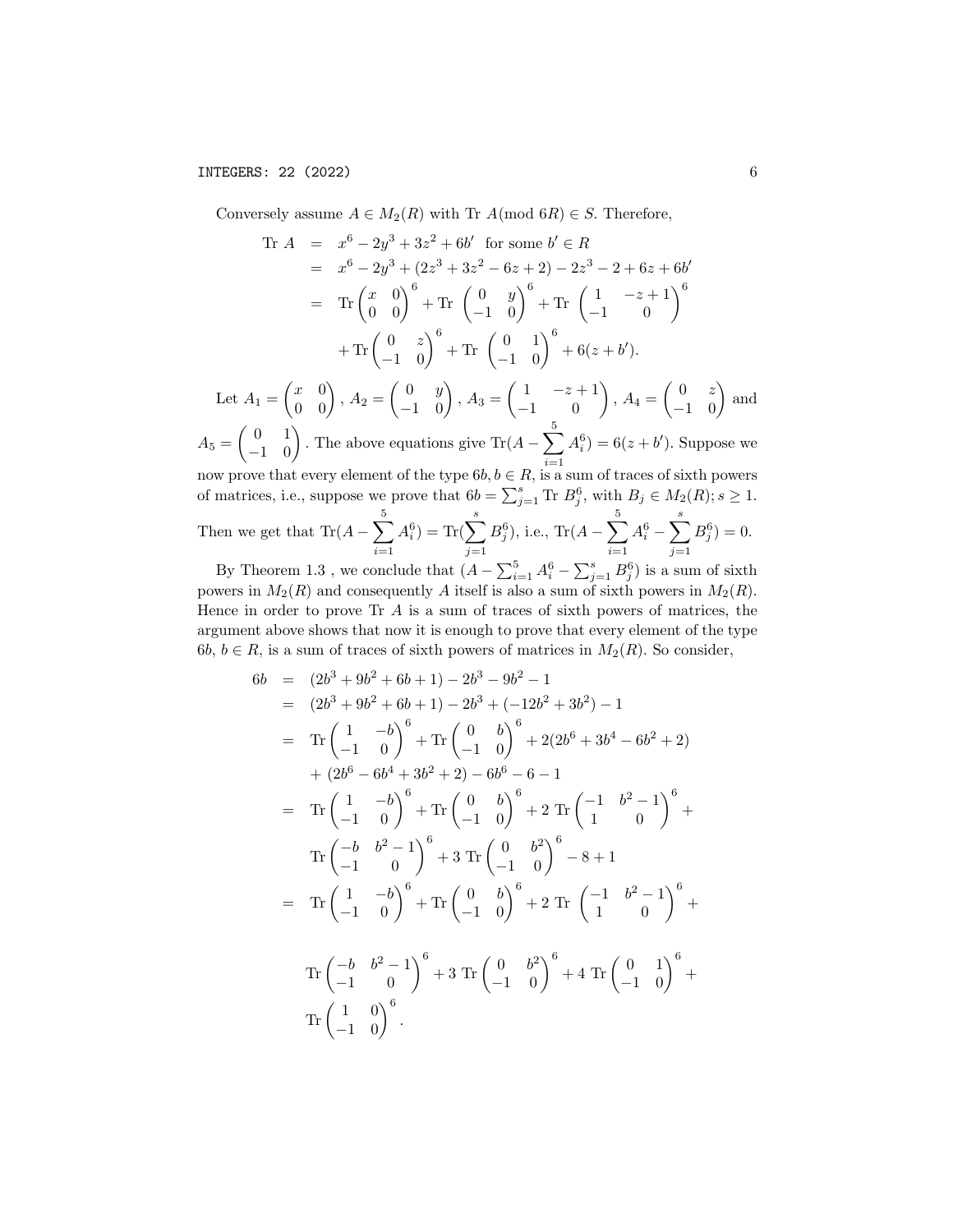Conversely assume  $A \in M_2(R)$  with Tr  $A \text{ (mod } 6R) \in S$ . Therefore,

$$
\begin{array}{rcl}\n\text{Tr}\ A & = & x^6 - 2y^3 + 3z^2 + 6b' \quad \text{for some}\ b' \in R \\
& = & x^6 - 2y^3 + (2z^3 + 3z^2 - 6z + 2) - 2z^3 - 2 + 6z + 6b' \\
& = & \text{Tr}\begin{pmatrix} x & 0 \\ 0 & 0 \end{pmatrix}^6 + \text{Tr}\begin{pmatrix} 0 & y \\ -1 & 0 \end{pmatrix}^6 + \text{Tr}\begin{pmatrix} 1 & -z + 1 \\ -1 & 0 \end{pmatrix}^6 \\
& + \text{Tr}\begin{pmatrix} 0 & z \\ -1 & 0 \end{pmatrix}^6 + \text{Tr}\begin{pmatrix} 0 & 1 \\ -1 & 0 \end{pmatrix}^6 + 6(z + b'). \\
\text{Let}\ A_1 = \begin{pmatrix} x & 0 \\ 0 & 0 \end{pmatrix}, A_2 = \begin{pmatrix} 0 & y \\ -1 & 0 \end{pmatrix}, A_3 = \begin{pmatrix} 1 & -z + 1 \\ -1 & 0 \end{pmatrix}, A_4 = \begin{pmatrix} 0 & z \\ -1 & 0 \end{pmatrix} \text{ and}\n\end{array}
$$

 $A_5 = \begin{pmatrix} 0 & 1 \\ -1 & 0 \end{pmatrix}$ . The above equations give Tr( $A - \sum_{n=1}^5$  $i=1$  $A_i^6$  = 6( $z + b'$ ). Suppose we now prove that every element of the type  $6b, b \in R$ , is a sum of traces of sixth powers

of matrices, i.e., suppose we prove that  $6b = \sum_{j=1}^{s} \text{Tr } B_j^6$ , with  $B_j \in M_2(R)$ ;  $s \geq 1$ .

Then we get that 
$$
\text{Tr}(A - \sum_{i=1}^{5} A_i^6) = \text{Tr}(\sum_{j=1}^{s} B_j^6)
$$
, i.e.,  $\text{Tr}(A - \sum_{i=1}^{5} A_i^6 - \sum_{j=1}^{s} B_j^6) = 0$ .

By Theorem 1.3, we conclude that  $(A - \sum_{i=1}^{5} A_i^6 - \sum_{j=1}^{s} B_j^6)$  is a sum of sixth powers in  $M_2(R)$  and consequently A itself is also a sum of sixth powers in  $M_2(R)$ . Hence in order to prove  $\text{Tr } A$  is a sum of traces of sixth powers of matrices, the argument above shows that now it is enough to prove that every element of the type 6b,  $b \in R$ , is a sum of traces of sixth powers of matrices in  $M_2(R)$ . So consider,

$$
6b = (2b^3 + 9b^2 + 6b + 1) - 2b^3 - 9b^2 - 1
$$
  
\n
$$
= (2b^3 + 9b^2 + 6b + 1) - 2b^3 + (-12b^2 + 3b^2) - 1
$$
  
\n
$$
= \text{Tr}\begin{pmatrix} 1 & -b \\ -1 & 0 \end{pmatrix}^6 + \text{Tr}\begin{pmatrix} 0 & b \\ -1 & 0 \end{pmatrix}^6 + 2(2b^6 + 3b^4 - 6b^2 + 2)
$$
  
\n
$$
+ (2b^6 - 6b^4 + 3b^2 + 2) - 6b^6 - 6 - 1
$$
  
\n
$$
= \text{Tr}\begin{pmatrix} 1 & -b \\ -1 & 0 \end{pmatrix}^6 + \text{Tr}\begin{pmatrix} 0 & b \\ -1 & 0 \end{pmatrix}^6 + 2 \text{ Tr}\begin{pmatrix} -1 & b^2 - 1 \\ 1 & 0 \end{pmatrix}^6 +
$$
  
\n
$$
\text{Tr}\begin{pmatrix} -b & b^2 - 1 \\ -1 & 0 \end{pmatrix}^6 + 3 \text{ Tr}\begin{pmatrix} 0 & b^2 \\ -1 & 0 \end{pmatrix}^6 - 8 + 1
$$
  
\n
$$
= \text{Tr}\begin{pmatrix} 1 & -b \\ -1 & 0 \end{pmatrix}^6 + \text{Tr}\begin{pmatrix} 0 & b \\ -1 & 0 \end{pmatrix}^6 + 2 \text{ Tr}\begin{pmatrix} -1 & b^2 - 1 \\ 1 & 0 \end{pmatrix}^6 +
$$
  
\n
$$
\text{Tr}\begin{pmatrix} -b & b^2 - 1 \\ -1 & 0 \end{pmatrix}^6 + 3 \text{ Tr}\begin{pmatrix} 0 & b^2 \\ -1 & 0 \end{pmatrix}^6 + 4 \text{ Tr}\begin{pmatrix} 0 & 1 \\ -1 & 0 \end{pmatrix}^6 +
$$
  
\n
$$
\text{Tr}\begin{pmatrix} 1 & 0 \\ -1 & 0 \end{pmatrix}^6.
$$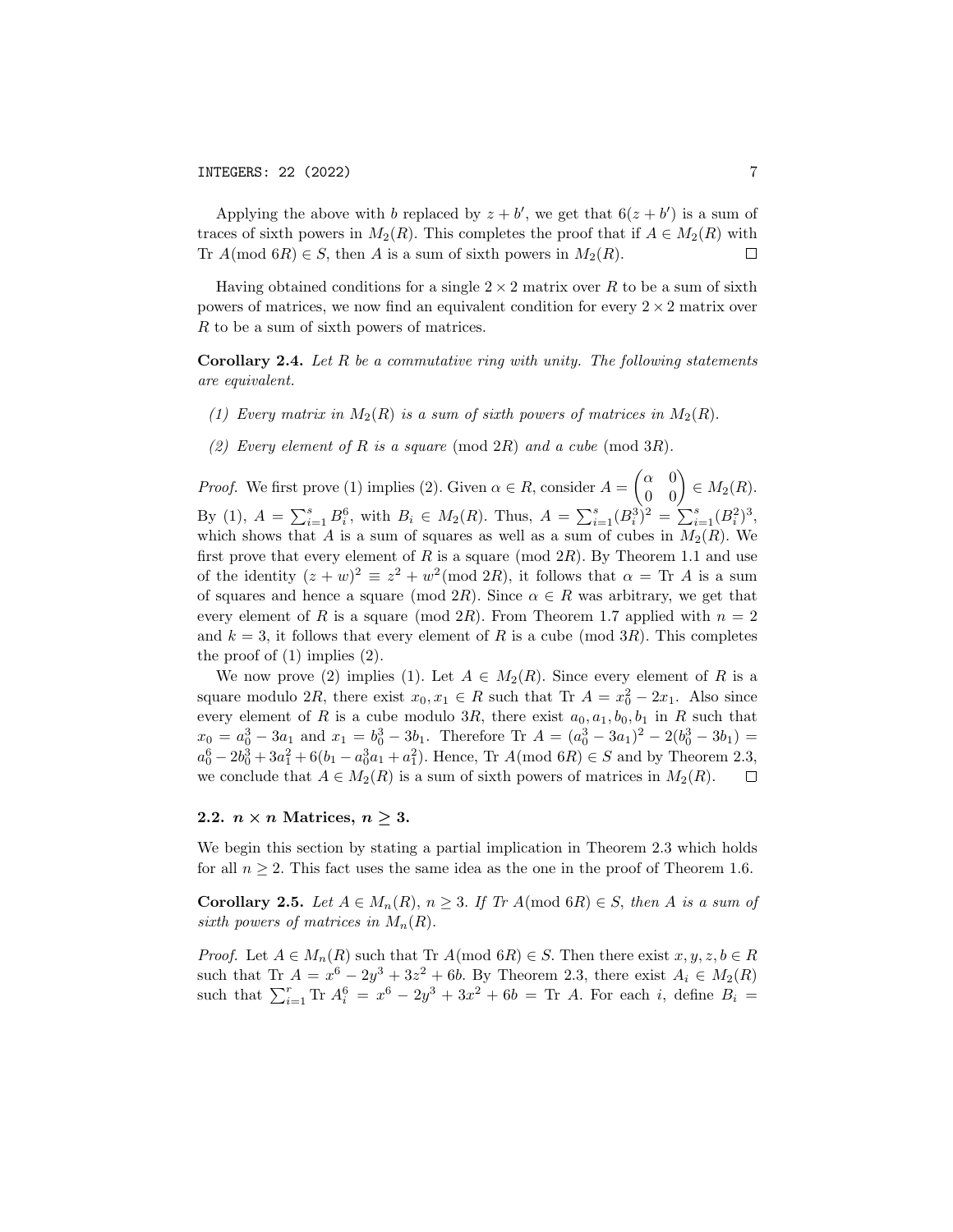Applying the above with b replaced by  $z + b'$ , we get that  $6(z + b')$  is a sum of traces of sixth powers in  $M_2(R)$ . This completes the proof that if  $A \in M_2(R)$  with Tr  $A \text{ (mod } 6R) \in S$ , then A is a sum of sixth powers in  $M_2(R)$ .  $\Box$ 

Having obtained conditions for a single  $2 \times 2$  matrix over R to be a sum of sixth powers of matrices, we now find an equivalent condition for every  $2 \times 2$  matrix over R to be a sum of sixth powers of matrices.

**Corollary 2.4.** Let R be a commutative ring with unity. The following statements are equivalent.

- (1) Every matrix in  $M_2(R)$  is a sum of sixth powers of matrices in  $M_2(R)$ .
- (2) Every element of R is a square (mod 2R) and a cube (mod 3R).

*Proof.* We first prove (1) implies (2). Given  $\alpha \in R$ , consider  $A = \begin{pmatrix} \alpha & 0 \\ 0 & 0 \end{pmatrix} \in M_2(R)$ . By (1),  $A = \sum_{i=1}^{s} B_i^6$ , with  $B_i \in M_2(R)$ . Thus,  $A = \sum_{i=1}^{s} (B_i^3)^2 = \sum_{i=1}^{s} (B_i^2)^3$ , which shows that A is a sum of squares as well as a sum of cubes in  $M_2(R)$ . We first prove that every element of  $R$  is a square (mod  $2R$ ). By Theorem 1.1 and use of the identity  $(z+w)^2 \equiv z^2 + w^2 \pmod{2R}$ , it follows that  $\alpha = \text{Tr } A$  is a sum of squares and hence a square (mod 2R). Since  $\alpha \in R$  was arbitrary, we get that every element of R is a square (mod  $2R$ ). From Theorem 1.7 applied with  $n = 2$ and  $k = 3$ , it follows that every element of R is a cube (mod 3R). This completes the proof of  $(1)$  implies  $(2)$ .

We now prove (2) implies (1). Let  $A \in M_2(R)$ . Since every element of R is a square modulo 2R, there exist  $x_0, x_1 \in R$  such that Tr  $A = x_0^2 - 2x_1$ . Also since every element of R is a cube modulo 3R, there exist  $a_0, a_1, b_0, b_1$  in R such that  $x_0 = a_0^3 - 3a_1$  and  $x_1 = b_0^3 - 3b_1$ . Therefore Tr  $A = (a_0^3 - 3a_1)^2 - 2(b_0^3 - 3b_1) =$  $a_0^6 - 2b_0^3 + 3a_1^2 + 6(b_1 - a_0^3a_1 + a_1^2)$ . Hence, Tr  $A \text{(mod } 6R) \in S$  and by Theorem 2.3, we conclude that  $A \in M_2(R)$  is a sum of sixth powers of matrices in  $M_2(R)$ .  $\Box$ 

## 2.2.  $n \times n$  Matrices,  $n \geq 3$ .

We begin this section by stating a partial implication in Theorem 2.3 which holds for all  $n \geq 2$ . This fact uses the same idea as the one in the proof of Theorem 1.6.

Corollary 2.5. Let  $A \in M_n(R)$ ,  $n \geq 3$ . If Tr  $A \pmod{6R} \in S$ , then A is a sum of sixth powers of matrices in  $M_n(R)$ .

*Proof.* Let  $A \in M_n(R)$  such that Tr  $A \text{ (mod } 6R) \in S$ . Then there exist  $x, y, z, b \in R$ such that Tr  $A = x^6 - 2y^3 + 3z^2 + 6b$ . By Theorem 2.3, there exist  $A_i \in M_2(R)$ such that  $\sum_{i=1}^{r}$  Tr  $A_i^6 = x^6 - 2y^3 + 3x^2 + 6b =$  Tr A. For each i, define  $B_i =$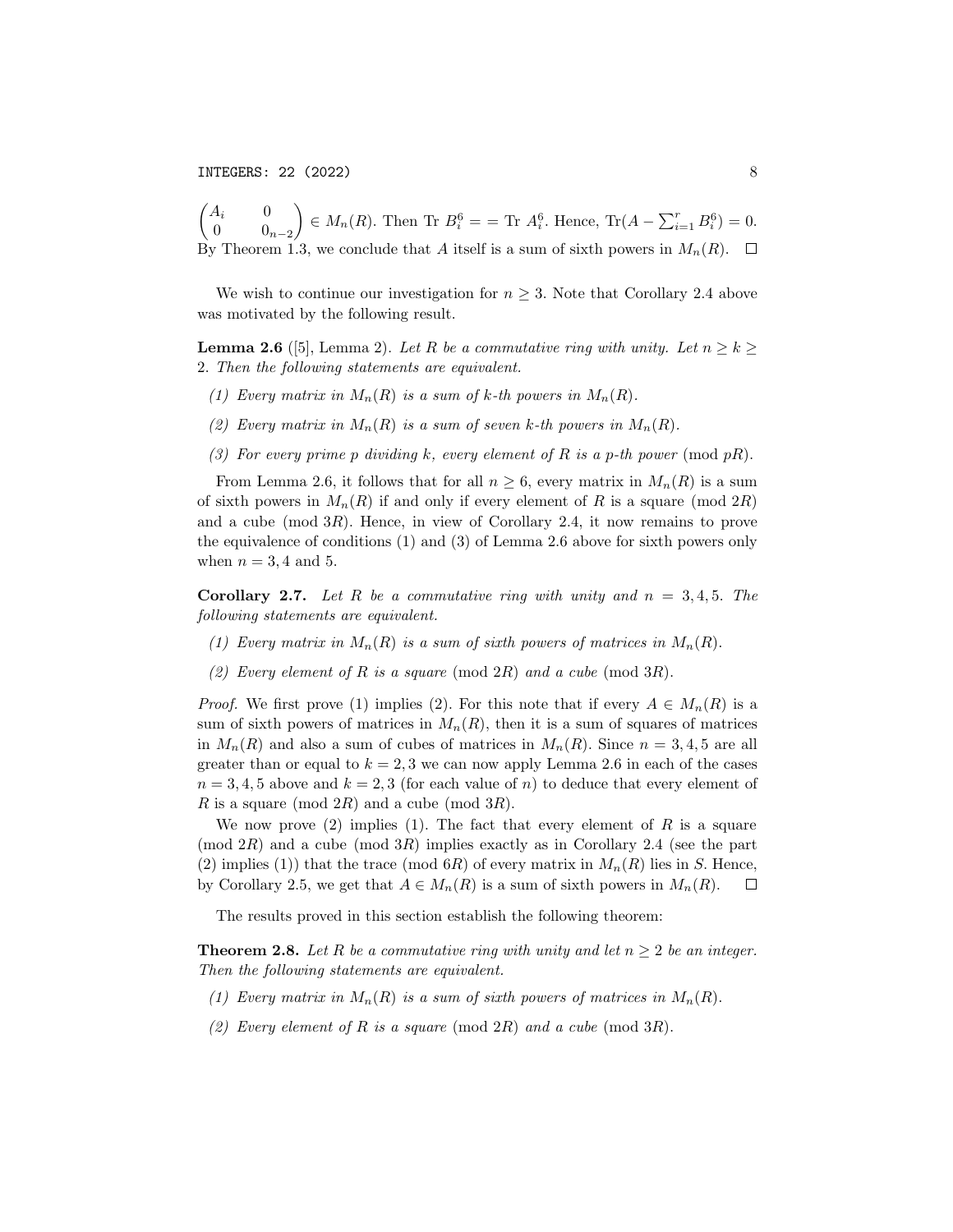INTEGERS: 22 (2022) 8

 $\sqrt{2}$  $A_i$  0 0  $0_{n-2}$  $\Big\} \in M_n(R)$ . Then Tr  $B_i^6 = \text{Tr } A_i^6$ . Hence, Tr $(A - \sum_{i=1}^r B_i^6) = 0$ . By Theorem 1.3, we conclude that A itself is a sum of sixth powers in  $M_n(R)$ .  $\Box$ 

We wish to continue our investigation for  $n \geq 3$ . Note that Corollary 2.4 above was motivated by the following result.

**Lemma 2.6** ([5], Lemma 2). Let R be a commutative ring with unity. Let  $n \geq k$ 2. Then the following statements are equivalent.

- (1) Every matrix in  $M_n(R)$  is a sum of k-th powers in  $M_n(R)$ .
- (2) Every matrix in  $M_n(R)$  is a sum of seven k-th powers in  $M_n(R)$ .
- (3) For every prime p dividing k, every element of R is a p-th power (mod  $pR$ ).

From Lemma 2.6, it follows that for all  $n \geq 6$ , every matrix in  $M_n(R)$  is a sum of sixth powers in  $M_n(R)$  if and only if every element of R is a square (mod 2R) and a cube (mod  $3R$ ). Hence, in view of Corollary 2.4, it now remains to prove the equivalence of conditions (1) and (3) of Lemma 2.6 above for sixth powers only when  $n = 3, 4$  and 5.

**Corollary 2.7.** Let R be a commutative ring with unity and  $n = 3, 4, 5$ . The following statements are equivalent.

- (1) Every matrix in  $M_n(R)$  is a sum of sixth powers of matrices in  $M_n(R)$ .
- (2) Every element of R is a square (mod 2R) and a cube (mod 3R).

*Proof.* We first prove (1) implies (2). For this note that if every  $A \in M_n(R)$  is a sum of sixth powers of matrices in  $M_n(R)$ , then it is a sum of squares of matrices in  $M_n(R)$  and also a sum of cubes of matrices in  $M_n(R)$ . Since  $n = 3, 4, 5$  are all greater than or equal to  $k = 2, 3$  we can now apply Lemma 2.6 in each of the cases  $n = 3, 4, 5$  above and  $k = 2, 3$  (for each value of n) to deduce that every element of R is a square (mod  $2R$ ) and a cube (mod  $3R$ ).

We now prove (2) implies (1). The fact that every element of R is a square  $\pmod{2R}$  and a cube  $\pmod{3R}$  implies exactly as in Corollary 2.4 (see the part (2) implies (1)) that the trace (mod  $6R$ ) of every matrix in  $M_n(R)$  lies in S. Hence, by Corollary 2.5, we get that  $A \in M_n(R)$  is a sum of sixth powers in  $M_n(R)$ .  $\Box$ 

The results proved in this section establish the following theorem:

**Theorem 2.8.** Let R be a commutative ring with unity and let  $n \geq 2$  be an integer. Then the following statements are equivalent.

- (1) Every matrix in  $M_n(R)$  is a sum of sixth powers of matrices in  $M_n(R)$ .
- (2) Every element of R is a square (mod  $2R$ ) and a cube (mod  $3R$ ).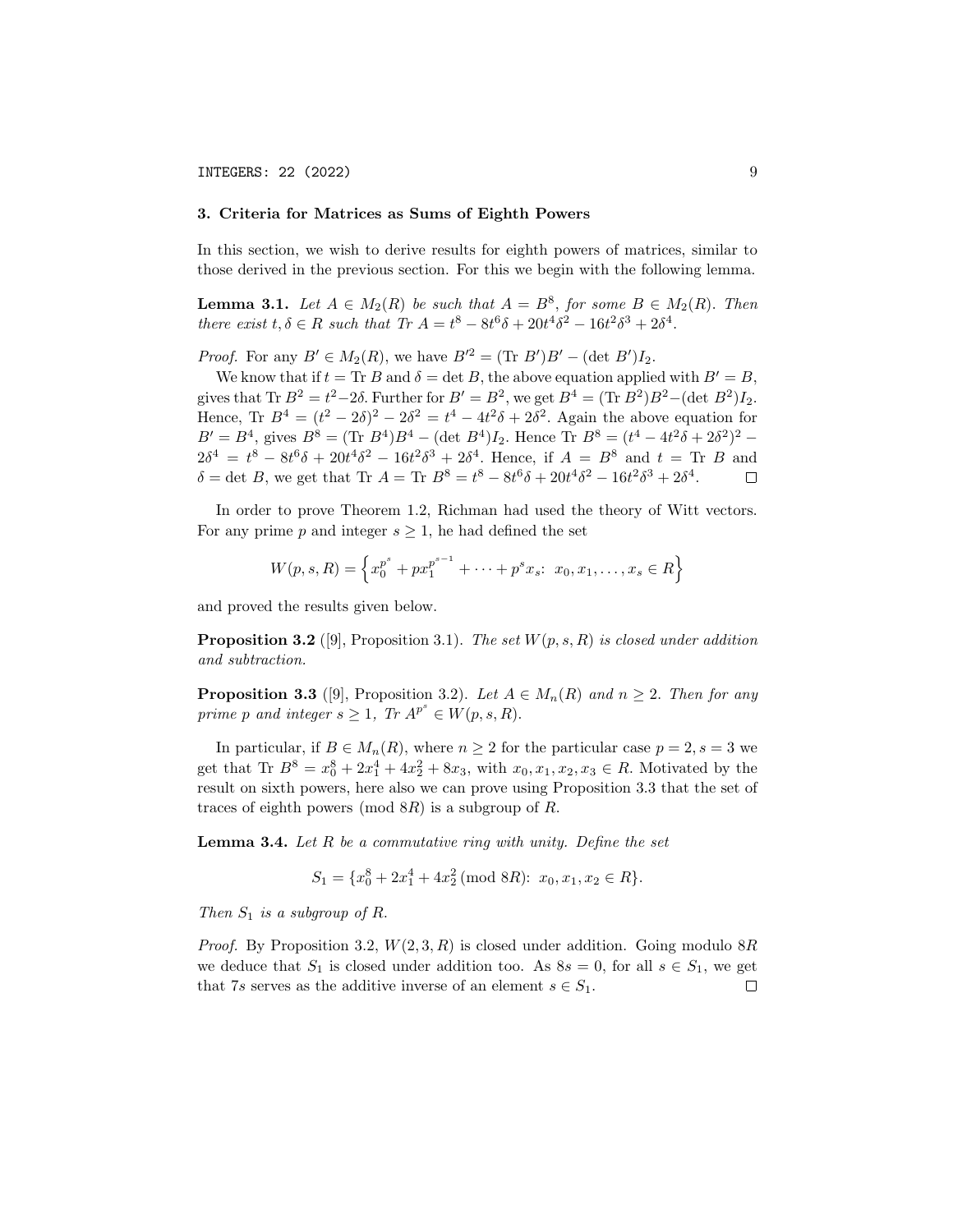### 3. Criteria for Matrices as Sums of Eighth Powers

In this section, we wish to derive results for eighth powers of matrices, similar to those derived in the previous section. For this we begin with the following lemma.

**Lemma 3.1.** Let  $A \in M_2(R)$  be such that  $A = B^8$ , for some  $B \in M_2(R)$ . Then there exist  $t, \delta \in R$  such that  $Tr A = t^8 - 8t^6 \delta + 20t^4 \delta^2 - 16t^2 \delta^3 + 2\delta^4$ .

*Proof.* For any  $B' \in M_2(R)$ , we have  $B'^2 = (\text{Tr } B')B' - (\text{det } B')I_2$ .

We know that if  $t = \text{Tr } B$  and  $\delta = \det B$ , the above equation applied with  $B' = B$ , gives that Tr  $B^2 = t^2 - 2\delta$ . Further for  $B' = B^2$ , we get  $B^4 = (\text{Tr } B^2)B^2 - (\text{det } B^2)I_2$ . Hence, Tr  $B^4 = (t^2 - 2\delta)^2 - 2\delta^2 = t^4 - 4t^2\delta + 2\delta^2$ . Again the above equation for  $B' = B^4$ , gives  $B^8 = (\text{Tr } B^4)B^4 - (\text{det } B^4)I_2$ . Hence Tr  $B^8 = (t^4 - 4t^2\delta + 2\delta^2)^2$  –  $2\delta^4 = t^8 - 8t^6\delta + 20t^4\delta^2 - 16t^2\delta^3 + 2\delta^4$ . Hence, if  $A = B^8$  and  $t = \text{Tr } B$  and  $\delta = \det B$ , we get that Tr  $A = \text{Tr } B^8 = t^8 - 8t^6 \delta + 20t^4 \delta^2 - 16t^2 \delta^3 + 2\delta^4$ .  $\Box$ 

In order to prove Theorem 1.2, Richman had used the theory of Witt vectors. For any prime p and integer  $s \geq 1$ , he had defined the set

$$
W(p, s, R) = \left\{ x_0^{p^s} + px_1^{p^{s-1}} + \dots + p^s x_s : x_0, x_1, \dots, x_s \in R \right\}
$$

and proved the results given below.

**Proposition 3.2** ([9], Proposition 3.1). The set  $W(p, s, R)$  is closed under addition and subtraction.

**Proposition 3.3** ([9], Proposition 3.2). Let  $A \in M_n(R)$  and  $n \geq 2$ . Then for any prime p and integer  $s \geq 1$ , Tr  $A^{p^s} \in W(p, s, R)$ .

In particular, if  $B \in M_n(R)$ , where  $n \geq 2$  for the particular case  $p = 2, s = 3$  we get that Tr  $B^8 = x_0^8 + 2x_1^4 + 4x_2^2 + 8x_3$ , with  $x_0, x_1, x_2, x_3 \in R$ . Motivated by the result on sixth powers, here also we can prove using Proposition 3.3 that the set of traces of eighth powers (mod  $8R$ ) is a subgroup of R.

**Lemma 3.4.** Let R be a commutative ring with unity. Define the set

$$
S_1 = \{x_0^8 + 2x_1^4 + 4x_2^2 \text{ (mod } 8R): x_0, x_1, x_2 \in R\}.
$$

Then  $S_1$  is a subgroup of R.

*Proof.* By Proposition 3.2,  $W(2,3, R)$  is closed under addition. Going modulo 8R we deduce that  $S_1$  is closed under addition too. As  $8s = 0$ , for all  $s \in S_1$ , we get that 7s serves as the additive inverse of an element  $s \in S_1$ .  $\Box$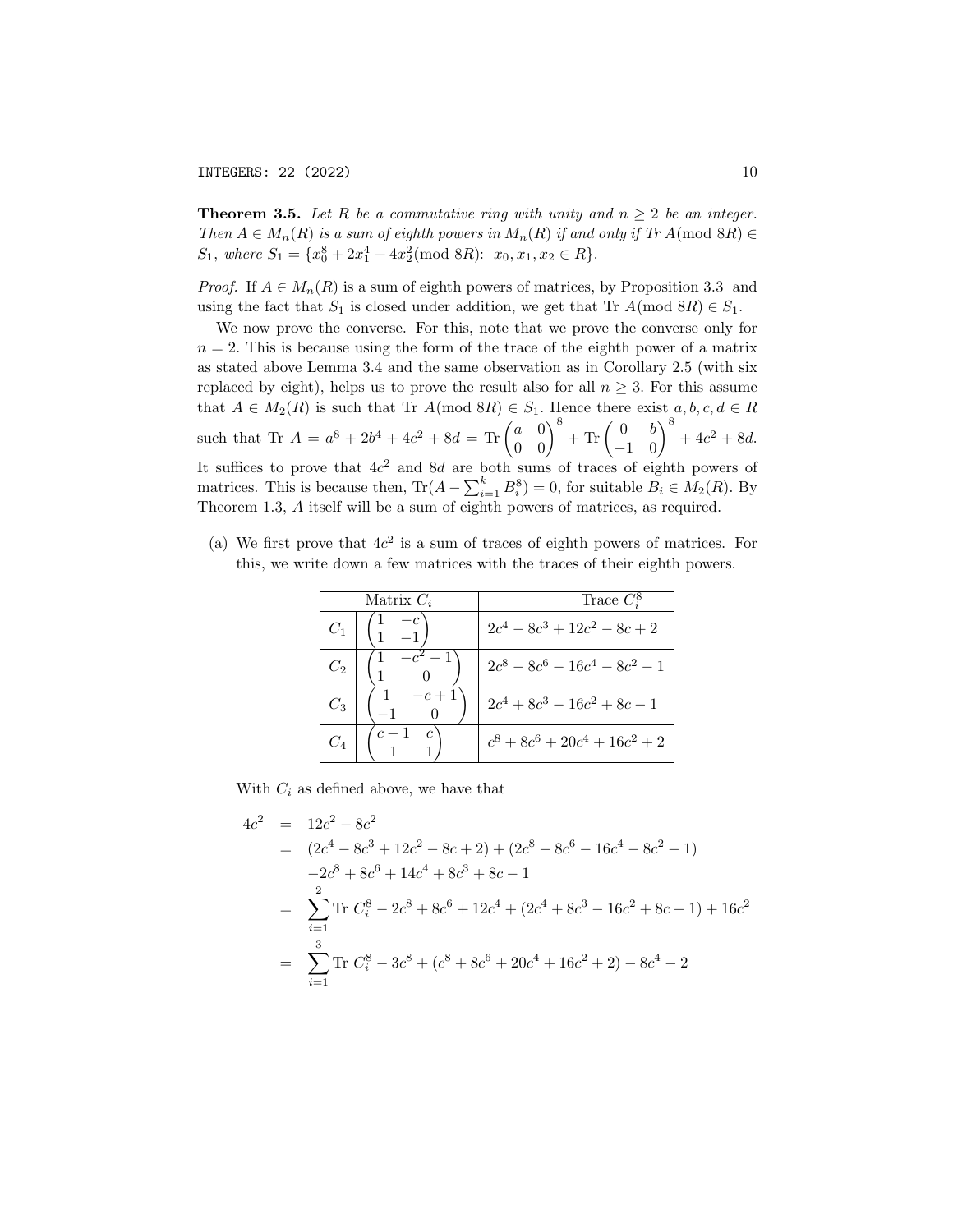**Theorem 3.5.** Let R be a commutative ring with unity and  $n \geq 2$  be an integer. Then  $A \in M_n(R)$  is a sum of eighth powers in  $M_n(R)$  if and only if  $Tr A \pmod{8R}$  $S_1$ , where  $S_1 = \{x_0^8 + 2x_1^4 + 4x_2^2 \pmod{8R} : x_0, x_1, x_2 \in R\}.$ 

*Proof.* If  $A \in M_n(R)$  is a sum of eighth powers of matrices, by Proposition 3.3 and using the fact that  $S_1$  is closed under addition, we get that Tr  $A \text{ (mod } 8R) \in S_1$ .

We now prove the converse. For this, note that we prove the converse only for  $n = 2$ . This is because using the form of the trace of the eighth power of a matrix as stated above Lemma 3.4 and the same observation as in Corollary 2.5 (with six replaced by eight), helps us to prove the result also for all  $n \geq 3$ . For this assume that  $A \in M_2(R)$  is such that Tr  $A \text{ (mod } 8R) \in S_1$ . Hence there exist  $a, b, c, d \in R$ such that Tr  $A = a^8 + 2b^4 + 4c^2 + 8d = \text{Tr} \begin{pmatrix} a & 0 \\ 0 & 0 \end{pmatrix}^8 + \text{Tr} \begin{pmatrix} 0 & b \\ -1 & 0 \end{pmatrix}^8 + 4c^2 + 8d.$ It suffices to prove that  $4c^2$  and  $8d$  are both sums of traces of eighth powers of matrices. This is because then,  $\text{Tr}(A - \sum_{i=1}^{k} B_i^8) = 0$ , for suitable  $B_i \in M_2(R)$ . By Theorem 1.3, A itself will be a sum of eighth powers of matrices, as required.

(a) We first prove that  $4c^2$  is a sum of traces of eighth powers of matrices. For this, we write down a few matrices with the traces of their eighth powers.

| Matrix $C_i$ |       | Trace $C_i^8$                    |
|--------------|-------|----------------------------------|
|              |       | $2c^4 - 8c^3 + 12c^2 - 8c + 2$   |
| $C_2$        |       | $2c^8-8c^6-16c^4-8c^2-1$         |
| $C_3$        | $c+1$ | $2c^4+8c^3-16c^2+8c-1$           |
|              |       | $c^8 + 8c^6 + 20c^4 + 16c^2 + 2$ |

With  $C_i$  as defined above, we have that

$$
4c2 = 12c2 - 8c2
$$
  
=  $(2c4 - 8c3 + 12c2 - 8c + 2) + (2c8 - 8c6 - 16c4 - 8c2 - 1)$   
 $-2c8 + 8c6 + 14c4 + 8c3 + 8c - 1$   
=  $\sum_{i=1}^{2}$  Tr  $Ci8 - 2c8 + 8c6 + 12c4 + (2c4 + 8c3 - 16c2 + 8c - 1) + 16c2$   
=  $\sum_{i=1}^{3}$  Tr  $Ci8 - 3c8 + (c8 + 8c6 + 20c4 + 16c2 + 2) - 8c4 - 2$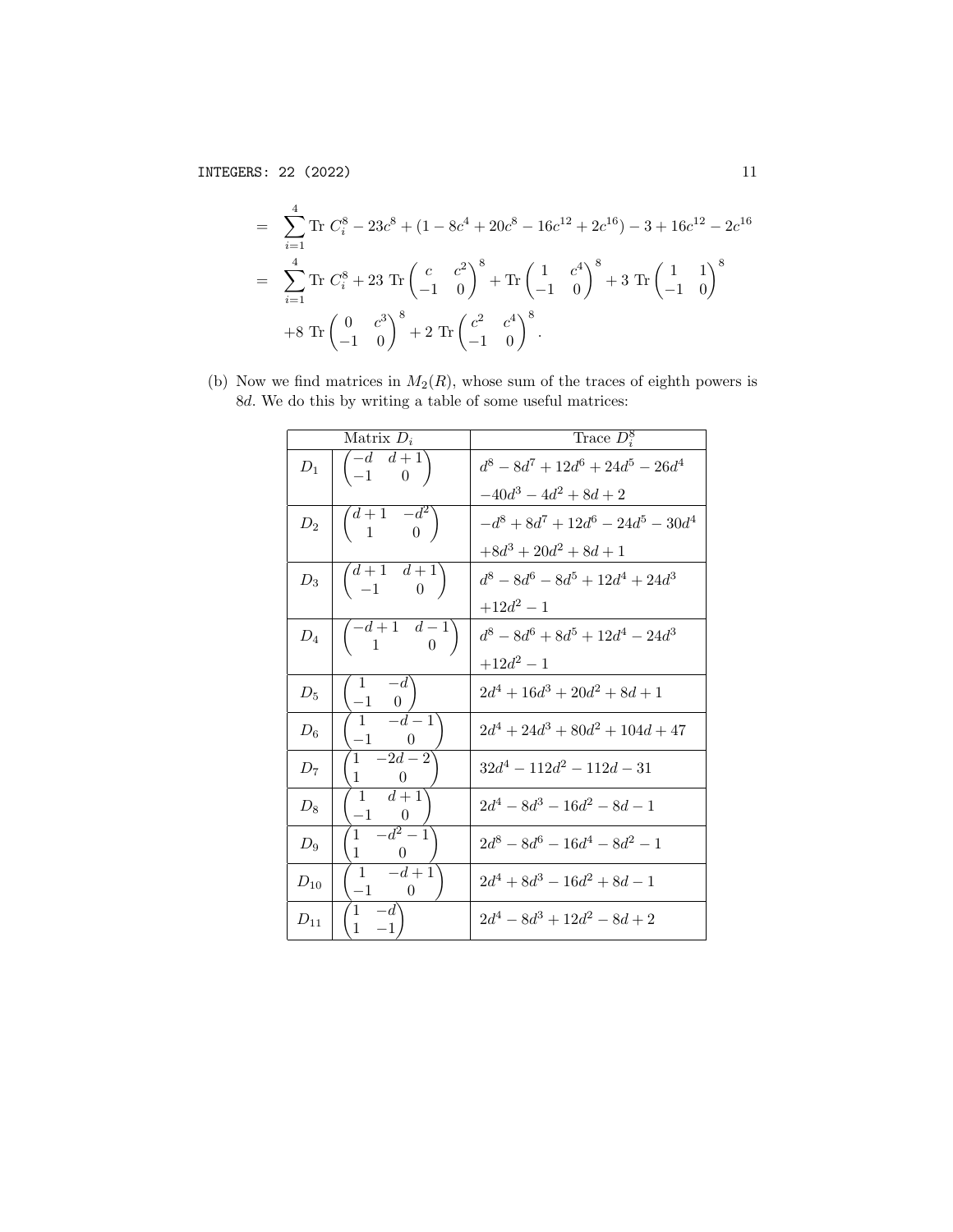$$
= \sum_{i=1}^{4} \text{Tr} C_i^8 - 23c^8 + (1 - 8c^4 + 20c^8 - 16c^{12} + 2c^{16}) - 3 + 16c^{12} - 2c^{16}
$$
  

$$
= \sum_{i=1}^{4} \text{Tr} C_i^8 + 23 \text{ Tr} \begin{pmatrix} c & c^2 \\ -1 & 0 \end{pmatrix}^8 + \text{Tr} \begin{pmatrix} 1 & c^4 \\ -1 & 0 \end{pmatrix}^8 + 3 \text{ Tr} \begin{pmatrix} 1 & 1 \\ -1 & 0 \end{pmatrix}^8
$$
  

$$
+ 8 \text{ Tr} \begin{pmatrix} 0 & c^3 \\ -1 & 0 \end{pmatrix}^8 + 2 \text{ Tr} \begin{pmatrix} c^2 & c^4 \\ -1 & 0 \end{pmatrix}^8.
$$

(b) Now we find matrices in  $M_2(R)$ , whose sum of the traces of eighth powers is 8d. We do this by writing a table of some useful matrices:

| Matrix $D_i$    |                                                     | Trace $D_i^8$                         |
|-----------------|-----------------------------------------------------|---------------------------------------|
| $D_1$           | $\begin{pmatrix} -d & d+1 \\ -1 & 0 \end{pmatrix}$  | $d^8 - 8d^7 + 12d^6 + 24d^5 - 26d^4$  |
|                 |                                                     | $-40d^3 - 4d^2 + 8d + 2$              |
| $D_2$           | $\begin{pmatrix} d+1 & -d^2 \\ 1 & 0 \end{pmatrix}$ | $-d^8 + 8d^7 + 12d^6 - 24d^5 - 30d^4$ |
|                 |                                                     | $+8d^3+20d^2+8d+1$                    |
| $D_3$           | $\begin{pmatrix} d+1 & d+1 \\ -1 & 0 \end{pmatrix}$ | $d^8 - 8d^6 - 8d^5 + 12d^4 + 24d^3$   |
|                 |                                                     | $+12d^2 - 1$                          |
| $\mathcal{D}_4$ | $\begin{pmatrix} -d+1 & d-1 \\ 1 & 0 \end{pmatrix}$ | $d^8 - 8d^6 + 8d^5 + 12d^4 - 24d^3$   |
|                 |                                                     | $+12d^2-1$                            |
| $D_5$           | $-1$ 0                                              | $2d^4 + 16d^3 + 20d^2 + 8d + 1$       |
| $D_6$           | $-d-1$<br>$\mathbf{1}$<br>$-1$                      | $2d^4 + 24d^3 + 80d^2 + 104d + 47$    |
| $D_7$           | $-2d-2$<br>$1 \quad$<br>$\mathbf{1}$<br>$\theta$    | $32d^4 - 112d^2 - 112d - 31$          |
| $D_8$           | $\boxed{d+1}$<br>$\mathbf{1}$<br>$-1$<br>$\theta$   | $2d^4 - 8d^3 - 16d^2 - 8d - 1$        |
| $D_9$           | $\overline{1-d^2-1}$<br>$\mathbf{1}$<br>$\theta$    | $2d^8 - 8d^6 - 16d^4 - 8d^2 - 1$      |
| $D_{10}$        | $-d+1$<br>$\mathbf{1}$<br>$-1$<br>$\hspace{0.6cm}0$ | $2d^4 + 8d^3 - 16d^2 + 8d - 1$        |
| $D_{11}$        | 1<br>$\overline{1}$                                 | $2d^4 - 8d^3 + 12d^2 - 8d + 2$        |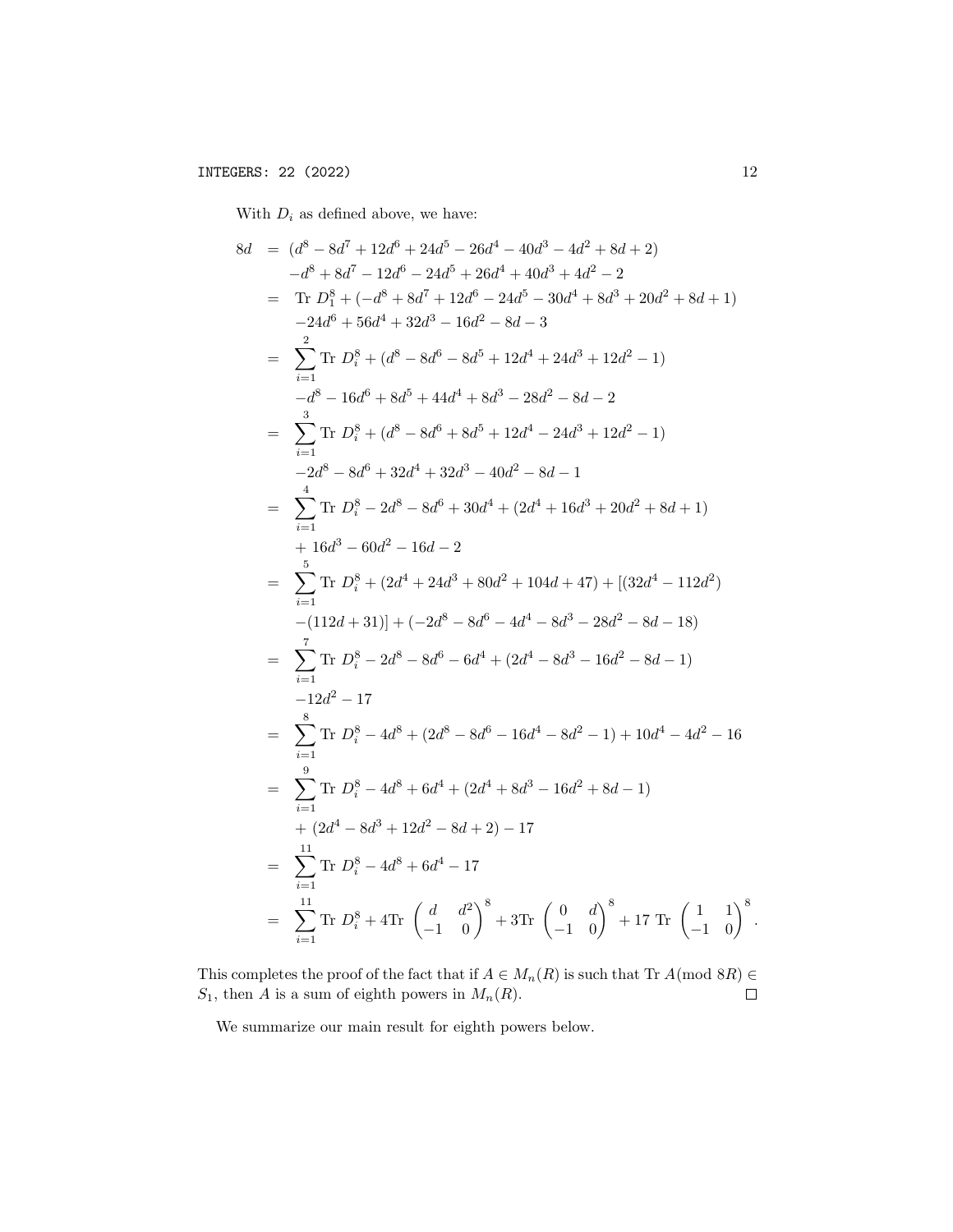With  $\mathcal{D}_i$  as defined above, we have:

$$
8d = (d^{8} - 8d^{7} + 12d^{6} + 24d^{5} - 26d^{4} - 40d^{3} - 4d^{2} + 8d + 2)
$$
\n
$$
-d^{8} + 8d^{7} - 12d^{6} - 24d^{5} + 26d^{4} + 40d^{3} + 4d^{2} - 2
$$
\n
$$
= \text{Tr } D_{1}^{8} + (-d^{8} + 8d^{7} + 12d^{6} - 24d^{5} - 30d^{4} + 8d^{3} + 20d^{2} + 8d + 1)
$$
\n
$$
-24d^{6} + 56d^{4} + 32d^{3} - 16d^{2} - 8d - 3
$$
\n
$$
= \sum_{i=1}^{2} \text{Tr } D_{i}^{8} + (d^{8} - 8d^{6} - 8d^{5} + 12d^{4} + 24d^{3} + 12d^{2} - 1)
$$
\n
$$
-d^{8} - 16d^{6} + 8d^{5} + 44d^{4} + 8d^{3} - 28d^{2} - 8d - 2
$$
\n
$$
= \sum_{i=1}^{3} \text{Tr } D_{i}^{8} + (d^{8} - 8d^{6} + 8d^{5} + 12d^{4} - 24d^{3} + 12d^{2} - 1)
$$
\n
$$
-2d^{8} - 8d^{6} + 32d^{4} + 32d^{3} - 40d^{2} - 8d - 1
$$
\n
$$
= \sum_{i=1}^{4} \text{Tr } D_{i}^{8} - 2d^{8} - 8d^{6} + 30d^{4} + (2d^{4} + 16d^{3} + 20d^{2} + 8d + 1)
$$
\n
$$
+ 16d^{3} - 60d^{2} - 16d - 2
$$
\n
$$
= \sum_{i=1}^{5} \text{Tr } D_{i}^{8} + (2d^{4} + 24d^{3} + 80d^{2} + 104d + 47) + [(32d^{4} - 112d^{2}) - (112d + 31)] + (-2d^{8} - 8d^{6} -
$$

This completes the proof of the fact that if  $A \in M_n(R)$  is such that Tr  $A \pmod{8R} \in$  $S_1$ , then A is a sum of eighth powers in  $M_n(R)$ .  $\Box$ 

We summarize our main result for eighth powers below.

.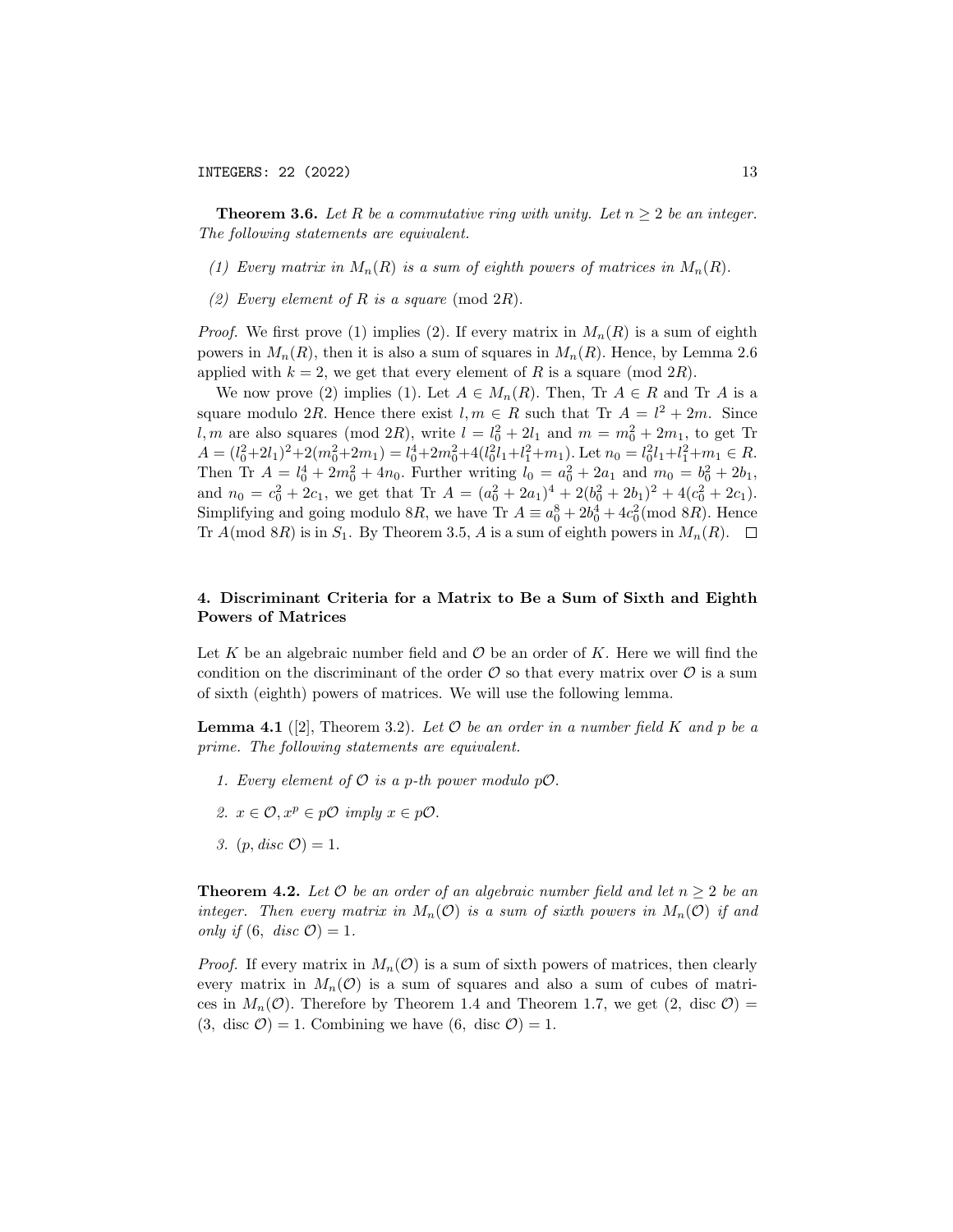**Theorem 3.6.** Let R be a commutative ring with unity. Let  $n \geq 2$  be an integer. The following statements are equivalent.

- (1) Every matrix in  $M_n(R)$  is a sum of eighth powers of matrices in  $M_n(R)$ .
- (2) Every element of R is a square (mod  $2R$ ).

*Proof.* We first prove (1) implies (2). If every matrix in  $M_n(R)$  is a sum of eighth powers in  $M_n(R)$ , then it is also a sum of squares in  $M_n(R)$ . Hence, by Lemma 2.6 applied with  $k = 2$ , we get that every element of R is a square (mod 2R).

We now prove (2) implies (1). Let  $A \in M_n(R)$ . Then, Tr  $A \in R$  and Tr A is a square modulo 2R. Hence there exist  $l, m \in R$  such that Tr  $A = l^2 + 2m$ . Since l, m are also squares (mod 2R), write  $l = l_0^2 + 2l_1$  and  $m = m_0^2 + 2m_1$ , to get Tr  $A = (l_0^2 + 2l_1)^2 + 2(m_0^2 + 2m_1) = l_0^4 + 2m_0^2 + 4(l_0^2l_1 + l_1^2 + m_1)$ . Let  $n_0 = l_0^2l_1 + l_1^2 + m_1 \in R$ . Then Tr  $A = l_0^4 + 2m_0^2 + 4n_0$ . Further writing  $l_0 = a_0^2 + 2a_1$  and  $m_0 = b_0^2 + 2b_1$ , and  $n_0 = c_0^2 + 2c_1$ , we get that Tr  $A = (a_0^2 + 2a_1)^4 + 2(b_0^2 + 2b_1)^2 + 4(c_0^2 + 2c_1)$ . Simplifying and going modulo 8R, we have Tr  $A \equiv a_0^8 + 2b_0^4 + 4c_0^2 \pmod{8R}$ . Hence Tr  $A \text{ (mod } 8R)$  is in  $S_1$ . By Theorem 3.5, A is a sum of eighth powers in  $M_n(R)$ .  $\Box$ 

# 4. Discriminant Criteria for a Matrix to Be a Sum of Sixth and Eighth Powers of Matrices

Let K be an algebraic number field and  $\mathcal O$  be an order of K. Here we will find the condition on the discriminant of the order  $\mathcal O$  so that every matrix over  $\mathcal O$  is a sum of sixth (eighth) powers of matrices. We will use the following lemma.

**Lemma 4.1** ([2], Theorem 3.2). Let  $\mathcal O$  be an order in a number field K and p be a prime. The following statements are equivalent.

- 1. Every element of  $\mathcal O$  is a p-th power modulo  $p\mathcal O$ .
- 2.  $x \in \mathcal{O}, x^p \in p\mathcal{O}$  imply  $x \in p\mathcal{O}.$
- 3.  $(p, disc O) = 1$ .

**Theorem 4.2.** Let  $\mathcal{O}$  be an order of an algebraic number field and let  $n \geq 2$  be an integer. Then every matrix in  $M_n(\mathcal{O})$  is a sum of sixth powers in  $M_n(\mathcal{O})$  if and only if  $(6, disc \mathcal{O}) = 1$ .

*Proof.* If every matrix in  $M_n(\mathcal{O})$  is a sum of sixth powers of matrices, then clearly every matrix in  $M_n(\mathcal{O})$  is a sum of squares and also a sum of cubes of matrices in  $M_n(\mathcal{O})$ . Therefore by Theorem 1.4 and Theorem 1.7, we get (2, disc  $\mathcal{O}$ ) =  $(3, \text{ disc }\mathcal{O}) = 1.$  Combining we have  $(6, \text{ disc }\mathcal{O}) = 1.$